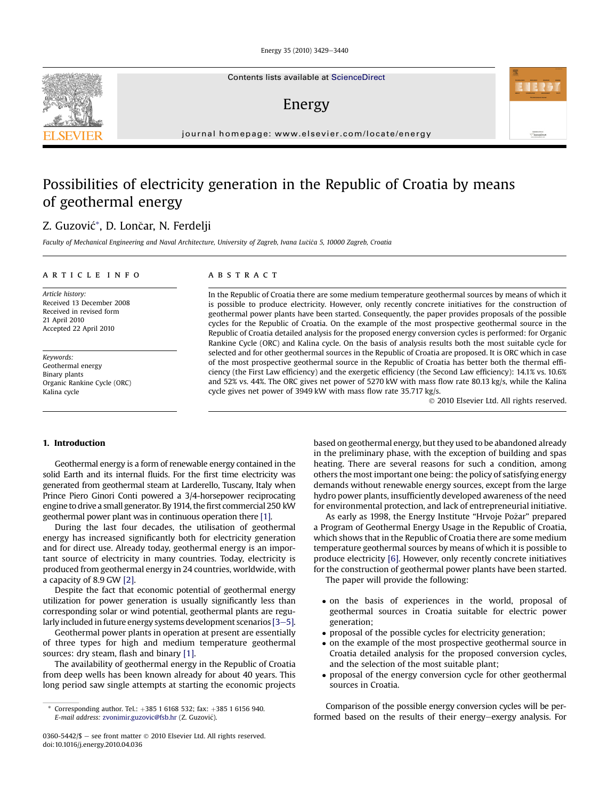Energy 35 (2010) 3429-3440

Contents lists available at ScienceDirect

## Energy

journal homepage: [www.elsevier.com/locate/energy](http://www.elsevier.com/locate/energy)

## Possibilities of electricity generation in the Republic of Croatia by means of geothermal energy

### Z. Guzović\*, D. Lončar, N. Ferdelji

Faculty of Mechanical Engineering and Naval Architecture, University of Zagreb, Ivana Lucica 5, 10000 Zagreb, Croatia

#### article info

Article history: Received 13 December 2008 Received in revised form 21 April 2010 Accepted 22 April 2010

Keywords: Geothermal energy Binary plants Organic Rankine Cycle (ORC) Kalina cycle

#### **ABSTRACT**

In the Republic of Croatia there are some medium temperature geothermal sources by means of which it is possible to produce electricity. However, only recently concrete initiatives for the construction of geothermal power plants have been started. Consequently, the paper provides proposals of the possible cycles for the Republic of Croatia. On the example of the most prospective geothermal source in the Republic of Croatia detailed analysis for the proposed energy conversion cycles is performed: for Organic Rankine Cycle (ORC) and Kalina cycle. On the basis of analysis results both the most suitable cycle for selected and for other geothermal sources in the Republic of Croatia are proposed. It is ORC which in case of the most prospective geothermal source in the Republic of Croatia has better both the thermal efficiency (the First Law efficiency) and the exergetic efficiency (the Second Law efficiency): 14.1% vs. 10.6% and 52% vs. 44%. The ORC gives net power of 5270 kW with mass flow rate 80.13 kg/s, while the Kalina cycle gives net power of 3949 kW with mass flow rate 35.717 kg/s.

2010 Elsevier Ltd. All rights reserved.

#### 1. Introduction

Geothermal energy is a form of renewable energy contained in the solid Earth and its internal fluids. For the first time electricity was generated from geothermal steam at Larderello, Tuscany, Italy when Prince Piero Ginori Conti powered a 3/4-horsepower reciprocating engine to drive a small generator. By 1914, the first commercial 250 kW geothermal power plant was in continuous operation there [1].

During the last four decades, the utilisation of geothermal energy has increased significantly both for electricity generation and for direct use. Already today, geothermal energy is an important source of electricity in many countries. Today, electricity is produced from geothermal energy in 24 countries, worldwide, with a capacity of 8.9 GW [2].

Despite the fact that economic potential of geothermal energy utilization for power generation is usually significantly less than corresponding solar or wind potential, geothermal plants are regularly included in future energy systems development scenarios  $[3-5]$ .

Geothermal power plants in operation at present are essentially of three types for high and medium temperature geothermal sources: dry steam, flash and binary [1].

The availability of geothermal energy in the Republic of Croatia from deep wells has been known already for about 40 years. This long period saw single attempts at starting the economic projects

based on geothermal energy, but they used to be abandoned already in the preliminary phase, with the exception of building and spas heating. There are several reasons for such a condition, among others the most important one being: the policy of satisfying energy demands without renewable energy sources, except from the large hydro power plants, insufficiently developed awareness of the need for environmental protection, and lack of entrepreneurial initiative.

As early as 1998, the Energy Institute "Hrvoje Pozar" prepared a Program of Geothermal Energy Usage in the Republic of Croatia, which shows that in the Republic of Croatia there are some medium temperature geothermal sources by means of which it is possible to produce electricity [6]. However, only recently concrete initiatives for the construction of geothermal power plants have been started.

The paper will provide the following:

- on the basis of experiences in the world, proposal of geothermal sources in Croatia suitable for electric power generation;
- proposal of the possible cycles for electricity generation;
- on the example of the most prospective geothermal source in Croatia detailed analysis for the proposed conversion cycles, and the selection of the most suitable plant;
- proposal of the energy conversion cycle for other geothermal sources in Croatia.

Comparison of the possible energy conversion cycles will be performed based on the results of their energy-exergy analysis. For



Corresponding author. Tel.:  $+385$  1 6168 532; fax:  $+385$  1 6156 940. E-mail address: [zvonimir.guzovic@fsb.hr](mailto:zvonimir.guzovic@fsb.hr) (Z. Guzovic).

<sup>0360-5442/\$ -</sup> see front matter  $\odot$  2010 Elsevier Ltd. All rights reserved. doi:10.1016/j.energy.2010.04.036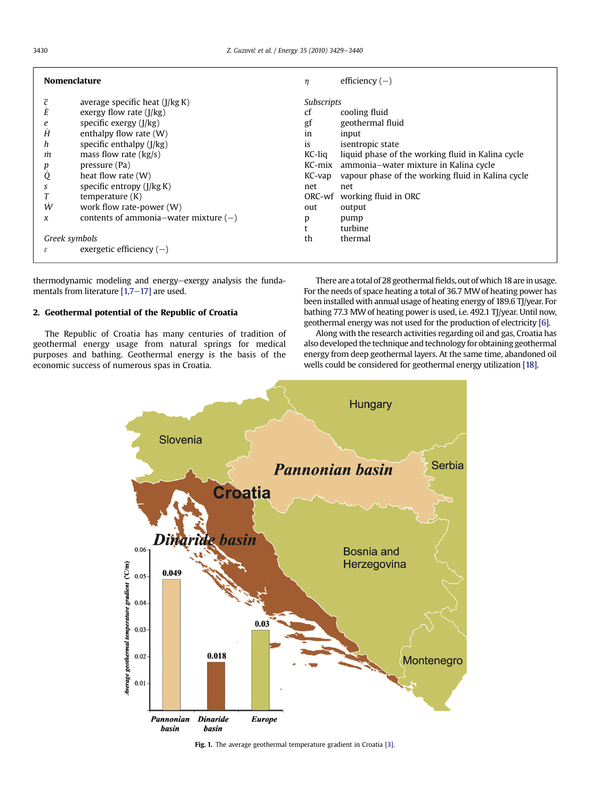| <b>Nomenclature</b>             |                                                                     | $\eta$                                   | efficiency $(-)$                                                                           |
|---------------------------------|---------------------------------------------------------------------|------------------------------------------|--------------------------------------------------------------------------------------------|
| ī<br>Е                          | average specific heat $(J/kg K)$<br>exergy flow rate $(I/kg)$       | <b>Subscripts</b><br>cooling fluid<br>cf |                                                                                            |
| e                               | specific exergy (I/kg)                                              | gf                                       | geothermal fluid                                                                           |
| Ĥ<br>h                          | enthalpy flow rate $(W)$<br>specific enthalpy $(I/kg)$              | 1n<br><i>is</i>                          | input<br>isentropic state                                                                  |
| m<br>p                          | mass flow rate $(kg/s)$<br>pressure (Pa)                            | $KC$ -liq<br>KC-mix                      | liquid phase of the working fluid in Kalina cycle<br>ammonia-water mixture in Kalina cycle |
| Q<br>S                          | heat flow rate $(W)$<br>specific entropy (J/kg K)                   | KC-vap<br>net                            | vapour phase of the working fluid in Kalina cycle<br>net                                   |
|                                 | temperature $(K)$                                                   | ORC-wf                                   | working fluid in ORC                                                                       |
| Ŵ<br>$\chi$                     | work flow rate-power (W)<br>contents of ammonia–water mixture $(-)$ | out<br>p                                 | output<br>pump                                                                             |
| Greek symbols                   |                                                                     | th                                       | turbine<br>thermal                                                                         |
| exergetic efficiency $(-)$<br>ε |                                                                     |                                          |                                                                                            |

thermodynamic modeling and energy-exergy analysis the fundamentals from literature  $[1,7-17]$  are used.

#### 2. Geothermal potential of the Republic of Croatia

The Republic of Croatia has many centuries of tradition of geothermal energy usage from natural springs for medical purposes and bathing. Geothermal energy is the basis of the economic success of numerous spas in Croatia.

There are a total of 28 geothermal fields, out of which 18 are in usage. For the needs of space heating a total of 36.7 MW of heating power has been installed with annual usage of heating energy of 189.6 TJ/year. For bathing 77.3 MW of heating power is used, i.e. 492.1 TJ/year. Until now, geothermal energy was not used for the production of electricity [6].

Along with the research activities regarding oil and gas, Croatia has also developed the technique and technology for obtaining geothermal energy from deep geothermal layers. At the same time, abandoned oil wells could be considered for geothermal energy utilization [18].



Fig. 1. The average geothermal temperature gradient in Croatia [3].